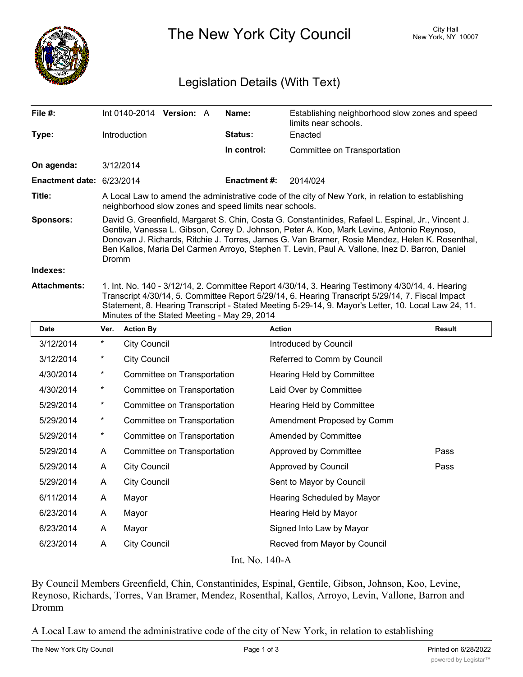

The New York City Council New York, NY 10007

## Legislation Details (With Text)

| File #:                                       | Int $0140-2014$ Version: A                                                                                                                                                                                                                                                                                                                                                                                          |  |  | Name:               | Establishing neighborhood slow zones and speed<br>limits near schools. |
|-----------------------------------------------|---------------------------------------------------------------------------------------------------------------------------------------------------------------------------------------------------------------------------------------------------------------------------------------------------------------------------------------------------------------------------------------------------------------------|--|--|---------------------|------------------------------------------------------------------------|
| Type:                                         | <b>Introduction</b>                                                                                                                                                                                                                                                                                                                                                                                                 |  |  | <b>Status:</b>      | Enacted                                                                |
|                                               |                                                                                                                                                                                                                                                                                                                                                                                                                     |  |  | In control:         | Committee on Transportation                                            |
| On agenda:                                    | 3/12/2014                                                                                                                                                                                                                                                                                                                                                                                                           |  |  |                     |                                                                        |
| <b>Enactment date: <math>6/23/2014</math></b> |                                                                                                                                                                                                                                                                                                                                                                                                                     |  |  | <b>Enactment #:</b> | 2014/024                                                               |
| Title:                                        | A Local Law to amend the administrative code of the city of New York, in relation to establishing<br>neighborhood slow zones and speed limits near schools.                                                                                                                                                                                                                                                         |  |  |                     |                                                                        |
| <b>Sponsors:</b>                              | David G. Greenfield, Margaret S. Chin, Costa G. Constantinides, Rafael L. Espinal, Jr., Vincent J.<br>Gentile, Vanessa L. Gibson, Corey D. Johnson, Peter A. Koo, Mark Levine, Antonio Reynoso,<br>Donovan J. Richards, Ritchie J. Torres, James G. Van Bramer, Rosie Mendez, Helen K. Rosenthal,<br>Ben Kallos, Maria Del Carmen Arroyo, Stephen T. Levin, Paul A. Vallone, Inez D. Barron, Daniel<br><b>Dromm</b> |  |  |                     |                                                                        |
| Indexes:                                      |                                                                                                                                                                                                                                                                                                                                                                                                                     |  |  |                     |                                                                        |
| <b>Attachments:</b>                           | 1. Int. No. 140 - 3/12/14, 2. Committee Report 4/30/14, 3. Hearing Testimony 4/30/14, 4. Hearing<br>Transcript 4/30/14, 5. Committee Report 5/29/14, 6. Hearing Transcript 5/29/14, 7. Fiscal Impact<br>Statement, 8. Hearing Transcript - Stated Meeting 5-29-14, 9. Mayor's Letter, 10. Local Law 24, 11.<br>Minutes of the Stated Meeting - May 29, 2014                                                         |  |  |                     |                                                                        |

**Date Ver. Action By Action Result** 3/12/2014 \* City Council Council Council Council Council Council Entroduced by Council 3/12/2014 \* City Council Comm Referred to Comm by Council 4/30/2014 \* Committee on Transportation Hearing Held by Committee 4/30/2014 \* Committee on Transportation Laid Over by Committee 5/29/2014 \* Committee on Transportation Hearing Held by Committee 5/29/2014 \* Committee on Transportation Amendment Proposed by Comm 5/29/2014 \* Committee on Transportation Amended by Committee 5/29/2014 A Committee on Transportation Approved by Committee Pass 5/29/2014 A City Council Approved by Council Pass 5/29/2014 A City Council Sent to Mayor by Council 6/11/2014 A Mayor Hearing Scheduled by Mayor 6/23/2014 A Mayor **Hearing Held by Mayor** 6/23/2014 A Mayor Signed Into Law by Mayor 6/23/2014 A City Council Recved from Mayor by Council Int. No. 140-A

By Council Members Greenfield, Chin, Constantinides, Espinal, Gentile, Gibson, Johnson, Koo, Levine, Reynoso, Richards, Torres, Van Bramer, Mendez, Rosenthal, Kallos, Arroyo, Levin, Vallone, Barron and Dromm

A Local Law to amend the administrative code of the city of New York, in relation to establishing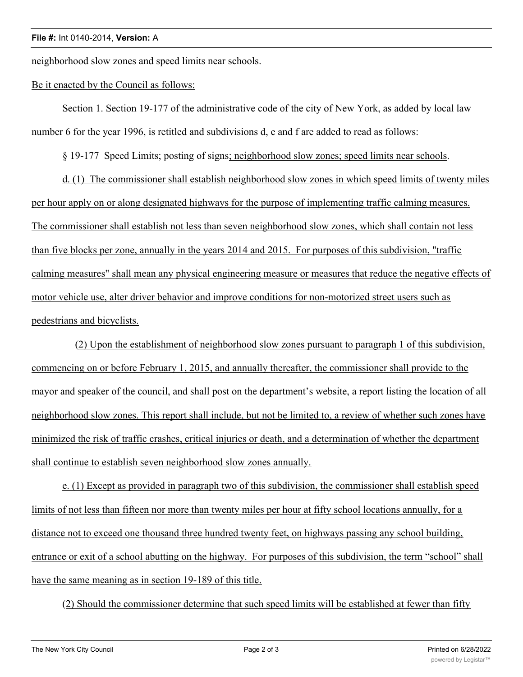neighborhood slow zones and speed limits near schools.

## Be it enacted by the Council as follows:

Section 1. Section 19-177 of the administrative code of the city of New York, as added by local law number 6 for the year 1996, is retitled and subdivisions d, e and f are added to read as follows:

§ 19-177 Speed Limits; posting of signs; neighborhood slow zones; speed limits near schools.

d. (1) The commissioner shall establish neighborhood slow zones in which speed limits of twenty miles per hour apply on or along designated highways for the purpose of implementing traffic calming measures. The commissioner shall establish not less than seven neighborhood slow zones, which shall contain not less than five blocks per zone, annually in the years 2014 and 2015. For purposes of this subdivision, "traffic calming measures" shall mean any physical engineering measure or measures that reduce the negative effects of motor vehicle use, alter driver behavior and improve conditions for non-motorized street users such as pedestrians and bicyclists.

 (2) Upon the establishment of neighborhood slow zones pursuant to paragraph 1 of this subdivision, commencing on or before February 1, 2015, and annually thereafter, the commissioner shall provide to the mayor and speaker of the council, and shall post on the department's website, a report listing the location of all neighborhood slow zones. This report shall include, but not be limited to, a review of whether such zones have minimized the risk of traffic crashes, critical injuries or death, and a determination of whether the department shall continue to establish seven neighborhood slow zones annually.

e. (1) Except as provided in paragraph two of this subdivision, the commissioner shall establish speed limits of not less than fifteen nor more than twenty miles per hour at fifty school locations annually, for a distance not to exceed one thousand three hundred twenty feet, on highways passing any school building, entrance or exit of a school abutting on the highway. For purposes of this subdivision, the term "school" shall have the same meaning as in section 19-189 of this title.

(2) Should the commissioner determine that such speed limits will be established at fewer than fifty